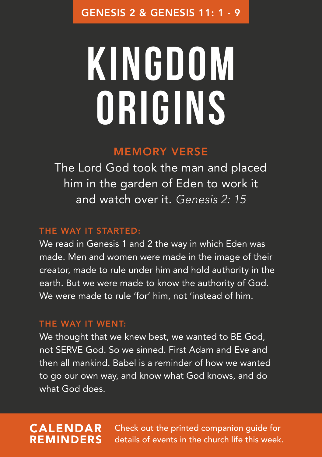# **Kingdom origins**

### MEMORY VERSE

The Lord God took the man and placed him in the garden of Eden to work it and watch over it. *Genesis 2: 15*

### THE WAY IT STARTED:

We read in Genesis 1 and 2 the way in which Eden was made. Men and women were made in the image of their creator, made to rule under him and hold authority in the earth. But we were made to know the authority of God. We were made to rule 'for' him, not 'instead of him.

#### THE WAY IT WENT:

We thought that we knew best, we wanted to BE God, not SERVE God. So we sinned. First Adam and Eve and then all mankind. Babel is a reminder of how we wanted to go our own way, and know what God knows, and do what God does.

### CALENDAR REMINDERS

Check out the printed companion guide for details of events in the church life this week.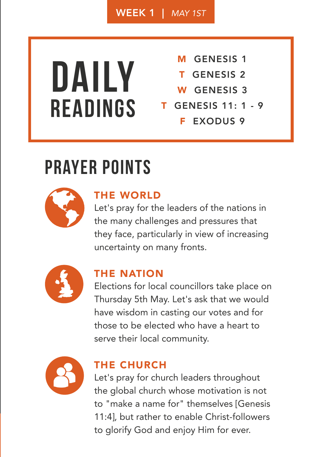WEEK 1 | *MAY 1ST*

## **Daily Readings**

- M GENESIS<sub>1</sub>
- T GENESIS 2
- W GENESIS<sub>3</sub>
- T GENESIS 11: 1 9
	- **F EXODUS 9**

### **prayer points**



### THE WORLD

Let's pray for the leaders of the nations in the many challenges and pressures that they face, particularly in view of increasing uncertainty on many fronts.



### THE NATION

Elections for local councillors take place on Thursday 5th May. Let's ask that we would have wisdom in casting our votes and for those to be elected who have a heart to serve their local community.



### THE CHURCH

Let's pray for church leaders throughout the global church whose motivation is not to "make a name for" themselves [Genesis 11:4], but rather to enable Christ-followers to glorify God and enjoy Him for ever.